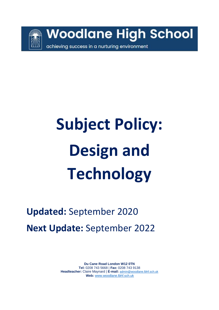**Woodlane High School** 

achieving success in a nurturing environment

# **Subject Policy: Design and Technology**

# **Updated:** September 2020 **Next Update:** September 2022

**Du Cane Road London W12 0TN Tel:** 0208 743 5668 | **Fax:** 0208 743 9138 **Headteacher:** Claire Maynard | **E-mail:** [admin@woodlane.lbhf.sch.uk](mailto:admin@woodlane.lbhf.sch.uk) **Web:** [www.woodlane.lbhf.sch.uk](http://www.woodlane.lbhf.sch.uk/)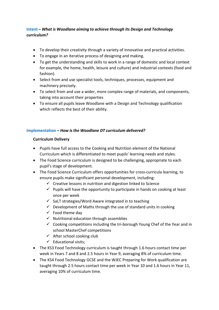# **Intent –** *What is Woodlane aiming to achieve through its Design and Technology curriculum?*

- To develop their creativity through a variety of innovative and practical activities.
- To engage in an iterative process of designing and making.
- To get the understanding and skills to work in a range of domestic and local context for example, the home, health, leisure and culture) and industrial contexts (food and fashion).
- Select from and use specialist tools, techniques, processes, equipment and machinery precisely.
- To select from and use a wider, more complex range of materials, and components, taking into account their properties
- To ensure all pupils leave Woodlane with a Design and Technology qualification which reflects the best of their ability.

## **Implementation –** *How is the Woodlane DT curriculum delivered?*

### **Curriculum Delivery**

- Pupils have full access to the Cooking and Nutrition element of the National Curriculum which is differentiated to meet pupils' learning needs and styles.
- The Food Science curriculum is designed to be challenging, appropriate to each pupil's stage of development.
- The Food Science Curriculum offers opportunities for cross-curricula learning, to ensure pupils make significant personal development, including:
	- $\checkmark$  Creative lessons in nutrition and digestion linked to Science
	- $\checkmark$  Pupils will have the opportunity to participate in hands on cooking at least once per week
	- $\checkmark$  SaLT strategies/Word Aware integrated in to teaching
	- $\checkmark$  Development of Maths through the use of standard units in cooking
	- $\checkmark$  Food theme day
	- $\checkmark$  Nutritional education through assemblies
	- $\checkmark$  Cooking competitions including the tri-borough Young Chef of the Year and in school MasterChef competitions
	- $\checkmark$  After school cooking club
	- $\checkmark$  Educational visits;
- The KS3 Food Technology curriculum is taught through 1.6 hours contact time per week in Years 7 and 8 and 2.5 hours in Year 9, averaging 8% of curriculum time.
- The KS4 Food Technology GCSE and the WJEC Preparing for Work qualification are taught through 2.5 hours contact time per week in Year 10 and 1.6 hours in Year 11, averaging 10% of curriculum time.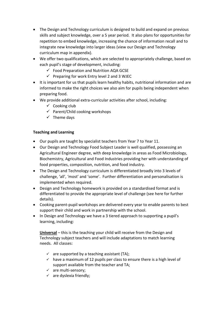- The Design and Technology curriculum is designed to build and expand on previous skills and subject knowledge, over a 5 year period. It also plans for opportunities for repetition to embed knowledge, increasing the chance of information recall and to integrate new knowledge into larger ideas (view our Design and Technology curriculum map in appendix).
- We offer two qualifications, which are selected to appropriately challenge, based on each pupil's stage of development, including:
	- $\checkmark$  Food Preparation and Nutrition AQA GCSE
	- $\checkmark$  Preparing for work Entry level 2 and 3 WJEC
- It is important for us that pupils learn healthy habits, nutritional information and are informed to make the right choices we also aim for pupils being independent when preparing food.
- We provide additional extra-curricular activities after school, including:
	- $\checkmark$  Cooking club
	- $\checkmark$  Parent/Child cooking workshops
	- $\checkmark$  Theme days

### **Teaching and Learning**

- Our pupils are taught by specialist teachers from Year 7 to Year 11.
- Our Design and Technology Food Subject Leader is well qualified, possessing an Agricultural Engineer degree, with deep knowledge in areas as Food Microbiology, Biochemistry, Agricultural and Food Industries providing her with understanding of food properties, composition, nutrition, and food industry.
- The Design and Technology curriculum is differentiated broadly into 3 levels of challenge, 'all', 'most' and 'some'. Further differentiation and personalisation is implemented when required.
- Design and Technology homework is provided on a standardised format and is differentiated to provide the appropriate level of challenge (see here for further details).
- Cooking parent-pupil workshops are delivered every year to enable parents to best support their child and work in partnership with the school.
- In Design and Technology we have a 3 tiered approach to supporting a pupil's learning, including:

**Universal** – this is the teaching your child will receive from the Design and Technology subject teachers and will include adaptations to match learning needs. All classes:

- $\checkmark$  are supported by a teaching assistant (TA);
- $\checkmark$  have a maximum of 12 pupils per class to ensure there is a high level of support available from the teacher and TA;
- ✓ are multi-sensory;
- $\checkmark$  are dyslexia friendly;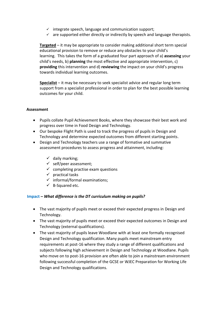- $\checkmark$  integrate speech, language and communication support;
- $\checkmark$  are supported either directly or indirectly by speech and language therapists.

**Targeted** – it may be appropriate to consider making additional short term special educational provision to remove or reduce any obstacles to your child's learning. This takes the form of a graduated four part approach of a) **assessing** your child's needs, b) **planning** the most effective and appropriate intervention, c) **providing** this intervention and d) **reviewing** the impact on your child's progress towards individual learning outcomes.

**Specialist** – it may be necessary to seek specialist advice and regular long term support from a specialist professional in order to plan for the best possible learning outcomes for your child.

#### **Assessment**

- Pupils collate Pupil Achievement Books, where they showcase their best work and progress over time in Food Design and Technology.
- Our bespoke Flight Path is used to track the progress of pupils in Design and Technology and determine expected outcomes from different starting points.
- Design and Technology teachers use a range of formative and summative assessment procedures to assess progress and attainment, including:
	- $\checkmark$  daily marking;
	- $\checkmark$  self/peer assessment;
	- $\checkmark$  completing practise exam questions
	- ✓ practical tasks
	- $\checkmark$  informal/formal examinations:
	- $\checkmark$  B-Squared etc.

#### **Impact –** *What difference is the DT curriculum making on pupils?*

- The vast majority of pupils meet or exceed their expected progress in Design and Technology.
- The vast majority of pupils meet or exceed their expected outcomes in Design and Technology (external qualifications).
- The vast majority of pupils leave Woodlane with at least one formally recognised Design and Technology qualification. Many pupils meet mainstream entry requirements at post-16 where they study a range of different qualifications and subjects following high achievement in Design and Technology at Woodlane. Pupils who move on to post-16 provision are often able to join a mainstream environment following successful completion of the GCSE or WJEC Preparation for Working Life Design and Technology qualifications.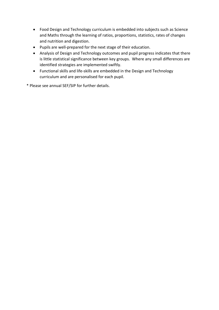- Food Design and Technology curriculum is embedded into subjects such as Science and Maths through the learning of ratios, proportions, statistics, rates of changes and nutrition and digestion.
- Pupils are well-prepared for the next stage of their education.
- Analysis of Design and Technology outcomes and pupil progress indicates that there is little statistical significance between key groups. Where any small differences are identified strategies are implemented swiftly.
- Functional skills and life-skills are embedded in the Design and Technology curriculum and are personalised for each pupil.
- \* Please see annual SEF/SIP for further details.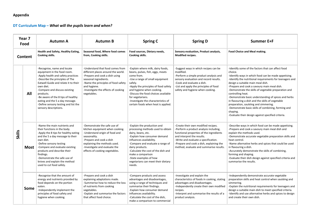### **Appendix**

#### **DT Curriculum Map –** *What will the pupils learn and when?*

| Year <sub>7</sub><br>Food |      | <b>Autumn A</b>                                                                                                                                                                                                                                                                                                                                                                  | <b>Autumn B</b>                                                                                                                                                                                                                                  | <b>Spring C</b>                                                                                                                                                                                                                                                                                                                                | <b>Spring D</b>                                                                                                                                                                                                                                                                        | <b>Summer E+F</b>                                                                                                                                                                                                                                                                                                                                                                                                                                                                                                                                                                                                               |
|---------------------------|------|----------------------------------------------------------------------------------------------------------------------------------------------------------------------------------------------------------------------------------------------------------------------------------------------------------------------------------------------------------------------------------|--------------------------------------------------------------------------------------------------------------------------------------------------------------------------------------------------------------------------------------------------|------------------------------------------------------------------------------------------------------------------------------------------------------------------------------------------------------------------------------------------------------------------------------------------------------------------------------------------------|----------------------------------------------------------------------------------------------------------------------------------------------------------------------------------------------------------------------------------------------------------------------------------------|---------------------------------------------------------------------------------------------------------------------------------------------------------------------------------------------------------------------------------------------------------------------------------------------------------------------------------------------------------------------------------------------------------------------------------------------------------------------------------------------------------------------------------------------------------------------------------------------------------------------------------|
| Content                   |      | Health and Safety, Healthy Eating,<br>Cooking skills.                                                                                                                                                                                                                                                                                                                            | Seasonal food, Where food comes<br>from, Cooking skills.                                                                                                                                                                                         | Food sources, Dietary needs,<br>Cooking skills.                                                                                                                                                                                                                                                                                                | Sensory evaluation, Product analysis,<br>Modified recipes.                                                                                                                                                                                                                             | Food Choice and Meal making.                                                                                                                                                                                                                                                                                                                                                                                                                                                                                                                                                                                                    |
|                           | All  | -Recognise, name and locate<br>equipment in the food room.<br>-Apply health and safety practices<br>-Describe the principles of The<br>Eatwell Guide and relate it to their<br>own diet.<br>-Compare and discuss existing<br>products.<br>-Be aware of the 8 tips of healthy<br>eating and the 5 a day message.<br>-Define sensory testing and list the<br>sensory descriptions. | -Understand that food comes from<br>different places around the world.<br>-Prepare and cook a dish using<br>seasonal ingredients.<br>-Name the principles of food safety<br>and hygiene.<br>-Investigate the effects of cooking<br>vegetables.   | Explain where milk, dairy foods,<br>beans, pulses, fish, eggs, meats<br>come from.<br>-Use a range of small equipment<br>safely.<br>-Apply the principles of food safety<br>and hygiene when cooking.<br>-Discuss the food choices available<br>for vegetarians.<br>-Investigate the characteristics of<br>certain foods when heat is applied. | -Suggest ways in which recipes can be<br>modified.<br>-Perform a simple product analysis and<br>sensory evaluation and record results.<br>-Cook and evaluate a dish.<br>-List and apply the principles of food<br>safety and hygiene when cooking.                                     | -Identify some of the factors that can affect food<br>choice.<br>-Identify ways in which food can be made appetising.<br>-Identify the nutritional requirements for teenagers and<br>design a suitable main meal dish.<br>-Prepare and cook a savoury main meal dish.<br>-Demonstrate the skills of vegetable preparation and<br>controlling heat.<br>-Demonstrate basic understanding of spices and herbs<br>in flavouring a dish and the skills of vegetable<br>preparation, sautéing and simmering.<br>-Demonstrate basic skills of combining, forming and<br>shaping.<br>-Evaluate their design against specified criteria. |
| <b>Skills</b>             | Most | -Name the main nutrients and<br>their functions in the body.<br>-Apply the 8 tips for healthy eating<br>and the 5 a day message to their<br>own diet.<br>-Define sensory testing<br>-Compare and evaluate existing<br>products and describe their<br>findings.<br>-Demonstrate the safe use of<br>knives and explain the method<br>used to cut food safely.                      | -Demonstrate the safe use of<br>kitchen equipment when cooking.<br>-Understand origin of food and<br>seasonality.<br>-Prepare and cook a dish<br>explaining the methods used.<br>-Investigate and evaluate the<br>effects of cooking vegetables. | Explain the production and<br>processing methods used to obtain<br>dairy, beans, etc.<br>-Explain how consumer demand<br>influences availability.<br>-Compare and evaluate a range of<br>dairy products.<br>-Calculate the cost of the dish and<br>make a comparison<br>-State examples of how<br>vegetarians can meet their dietary<br>needs. | -Create their own modified recipes.<br>-Perform a product analysis including,<br>functional properties of the ingredients<br>and interpret the results.<br>-Write and evaluate a specification.<br>-Prepare and cook a dish, explaining the<br>method, evaluate and summarise results. | -Describe ways in which food can be made appetising.<br>-Prepare and cook a savoury main meal dish and<br>explain the methods used.<br>-Demonstrate accurate vegetable preparation skills and<br>heat control.<br>-Name alternative herbs and spices that could be used<br>in flavouring a dish.<br>-Accurately demonstrate the skills of combining,<br>forming and shaping.<br>-Evaluate their dish design against specified criteria and<br>summarise the results.                                                                                                                                                            |
|                           | Some | -Recognise that the amount of<br>energy and nutrients provided by<br>food depends on the portion<br>eaten.<br>-Independently implement the<br>principles of food safety and<br>hygiene when cooking.                                                                                                                                                                             | -Prepare and cook a dish<br>explaining adaptations made.<br>-Summerise how to reduce the loss<br>of nutrients from cooking<br>vegetables.<br>Explain and summarise the factors<br>that affect food choice.                                       | Compare products and assess<br>advantages and disadvantages,<br>using a range of techniques and<br>summarise their findings.<br>-Explain how consumer demand<br>influences availability.<br>-Calculate the cost of the dish,<br>make a comparison to commercial                                                                                | -Investigate and explain the<br>characteristics of foods in cooking, stating<br>advantages and disadvantages.<br>-Independently create their own modified<br>recipes.<br>-Interpret and summarise the results of a<br>product analysis.                                                | -Independently demonstrate accurate vegetable<br>preparation skills and heat control when sautéing and<br>simmering.<br>-Explain the nutritional requirements for teenagers and<br>design a suitable main dish to meet specified criteria.<br>-Identify and use alternative herbs and spices to design<br>and create their own dish.                                                                                                                                                                                                                                                                                            |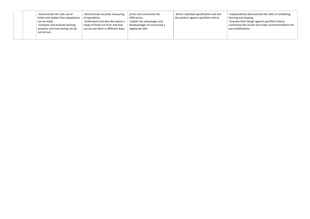| -Demonstrate the safe use of<br>knifes and explain how adaptations<br>can be made.<br>-Compare and evaluate existing<br>products and how testing can be<br>carried out. | -Demonstrate accurate measuring<br>of ingredients.<br>-Understand and describe where a<br>range of foods are from and how<br>can we use them in different ways. | prices and summarise the<br>differences.<br>Fxplain the advantages and<br>disadvantages of consuming a<br>vegetarian diet. | -Write a detailed specification and test<br>the product against specified criteria. | -Independently demonstrate the skills of combining,<br>forming and shaping.<br>-Evaluate their design against specified criteria,<br>summarise the results and make recommendations for<br>any modifications. |
|-------------------------------------------------------------------------------------------------------------------------------------------------------------------------|-----------------------------------------------------------------------------------------------------------------------------------------------------------------|----------------------------------------------------------------------------------------------------------------------------|-------------------------------------------------------------------------------------|---------------------------------------------------------------------------------------------------------------------------------------------------------------------------------------------------------------|
|-------------------------------------------------------------------------------------------------------------------------------------------------------------------------|-----------------------------------------------------------------------------------------------------------------------------------------------------------------|----------------------------------------------------------------------------------------------------------------------------|-------------------------------------------------------------------------------------|---------------------------------------------------------------------------------------------------------------------------------------------------------------------------------------------------------------|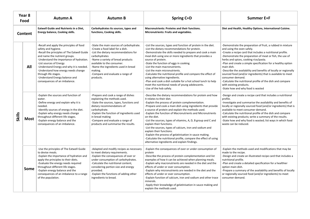| Year 8<br>Food<br>Content |             | <b>Autumn A</b>                                                                                                                                                                                                                                                                                                                                                                                      | <b>Autumn B</b>                                                                                                                                                                                                                                                                                                        | <b>Spring C+D</b>                                                                                                                                                                                                                                                                                                                                                                                                                                                                                                                                                                                                                                                                                                 | Summer E+F                                                                                                                                                                                                                                                                                                                                                                                                                                                                                                                                                                                                                     |
|---------------------------|-------------|------------------------------------------------------------------------------------------------------------------------------------------------------------------------------------------------------------------------------------------------------------------------------------------------------------------------------------------------------------------------------------------------------|------------------------------------------------------------------------------------------------------------------------------------------------------------------------------------------------------------------------------------------------------------------------------------------------------------------------|-------------------------------------------------------------------------------------------------------------------------------------------------------------------------------------------------------------------------------------------------------------------------------------------------------------------------------------------------------------------------------------------------------------------------------------------------------------------------------------------------------------------------------------------------------------------------------------------------------------------------------------------------------------------------------------------------------------------|--------------------------------------------------------------------------------------------------------------------------------------------------------------------------------------------------------------------------------------------------------------------------------------------------------------------------------------------------------------------------------------------------------------------------------------------------------------------------------------------------------------------------------------------------------------------------------------------------------------------------------|
|                           |             | <b>Eatwell Guide and Nutrients in a Diet,</b><br>Energy balance, Cooking skills.                                                                                                                                                                                                                                                                                                                     | Carbohydrates its sources, types and<br>functions, Cooking skills.                                                                                                                                                                                                                                                     | <b>Macronutrients: Proteins and their functions.</b><br>Micronutrients: Fruits and vegetables.                                                                                                                                                                                                                                                                                                                                                                                                                                                                                                                                                                                                                    | Diet and Health, Healthy Options, International Cuisine.                                                                                                                                                                                                                                                                                                                                                                                                                                                                                                                                                                       |
|                           | All         | -Recall and apply the principles of food<br>safety and hygiene.<br>-Recall the principles of The Eatwell Guide<br>and name the nutrient groups.<br>-Understand the importance of hydration.<br>-List sources of Energy<br>-Understand Energy and why it is needed.<br>-Understand how energy needs change<br>through life stages.<br>-Understand Energy balance and<br>consequences of an imbalance. | -State the main sources of carbohydrate.<br>-Create a food label for a dish.<br>-List the dietary recommendations for<br>carbohydrates<br>-Name a variety of bread products<br>available to the consumer.<br>-Name the ingredients used in bread<br>making.<br>-Compare and evaluate a range of<br>products.           | -List the sources, types and function of protein in the diet.<br>-List the dietary recommendations for protein.<br>-Demonstrate the skills needed to prepare and cook a main<br>meal dish using one or more ingredients that provides a<br>source of protein.<br>-State the function of eggs in cooking.<br>-List the main macronutrients.<br>-List the main micronutrients.<br>-Calculate the nutritional profile and compare the effect of<br>using alternative ingredients.<br>-Plan and cook a dish suitable for a hot school lunch to help<br>meet the nutritional needs of young adolescents.<br>-Use of the hob safely.                                                                                    | -Demonstrate the preparation of fruit, a rubbed in mixture<br>and using the oven safely.<br>-Create a recipe card that includes a nutritional profile.<br>-Demonstrate the preparation of meat or fish, the use of<br>herbs and spices, cooking rice/pasta.<br>-Plan and create a simple specification for a healthy option<br>main dish.<br>-Describe the availability and benefits of locally or regionally<br>sourced food (and/or ingredients) that is available to meet<br>consumer demand.<br>-Calculate the nutritional profile of the dish and compare<br>with existing products.<br>-State how and why food is wasted |
| <b>Skills</b>             | <b>Most</b> | -Explain the sources and function of<br>water.<br>-Define energy and explain why it is<br>needed.<br>-Identify sources of energy in the diet.<br>-Explain why energy needs change<br>throughout different life stages.<br>-Explain energy balance and the<br>consequences of an imbalance.                                                                                                           | -Prepare and cook a range of dishes<br>explaining the methods used.<br>-State the sources, types, functions and<br>dietary recommendations of<br>carbohydrate.<br>-Explain the function of ingredients used<br>in bread making<br>-Compare and evaluate a range of<br>products and summarise the results.              | -Describe the dietary recommendations for protein and how<br>it relates to their diet.<br>-Explain the process of protein complementation.<br>-Prepare and cook a main dish using ingredients that provide<br>a source of protein and explain the methods used.<br>-Explain the function of Macronutrients and Micronutrients<br>on the diet.<br>-List the sources, types of vitamins, A, D, B group and C and<br>explain their functions.<br>-List the sources, types of calcium, iron and sodium and<br>explain their functions.<br>-Explain the process of gelatinisation in sauce making.<br>-Calculate the nutritional profile, compare the effect of using<br>alternative ingredients and explain findings. | -Design and create a recipe card that includes a nutritional<br>profile.<br>-Investigate and summarise the availability and benefits of<br>locally or regionally sourced food (and/or ingredients) that is<br>available to meet consumer demand.<br>-Calculate the nutritional profile of the dish and compare<br>with existing products; write a summary of the results.<br>-State how and why food is wasted; list ways in which food<br>waste can be reduced.                                                                                                                                                               |
|                           | Some        | -Use the principles of The Eatwell Guide<br>to devise meals.<br>-Explain the importance of hydration and<br>apply the principles to their diets.<br>-Evaluate the energy needs required<br>throughout different life stages.<br>-Explain energy balance and the<br>consequences of an imbalance to a range<br>of the population.                                                                     | -Adapted and modify recipes as necessary<br>to meet dietary requirements.<br>-Explain the consequences of over or<br>under consumption of carbohydrates.<br>-Calculate the nutritional content,<br>considering portion size and energy<br>provided.<br>-Explain the functions of adding other<br>ingredients to bread. | -Explain the consequences of over or under consumption of<br>protein<br>-Describe the process of protein complementation and list<br>examples of how it can be achieved when planning meals.<br>-Explain why macronutrients are needed in the diet and the<br>effects of under or over consumption.<br>-Explain why micronutrients are needed in the diet and the<br>effects of under or over consumption.<br>-Explain function of calcium, iron and sodium and other trace<br>minerals.<br>-Apply their knowledge of gelatinisation in sauce making and<br>explain the methods used.                                                                                                                             | Explain the methods used and modifications that may be<br>made to the recipe.<br>-Design and create an illustrated recipe card that includes a<br>nutritional profile.<br>-Plan and create a detailed specification for a healthier<br>option main dish.<br>-Prepare a summary of the availability and benefits of locally<br>or regionally sourced food (and/or ingredients) to meet<br>consumer demand.                                                                                                                                                                                                                      |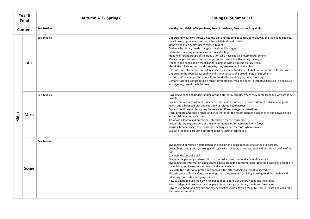|         | Year 9<br>Food | <b>Autumn A+B Spring C</b> | <b>Spring D+ Summer E+F</b>                                                                                                                                                                                                                                                                                                                                                                                                                                                                                                                                                                                                                                                                                                                                                                                                                                                                                                                                                                                                                                                                                          |  |  |
|---------|----------------|----------------------------|----------------------------------------------------------------------------------------------------------------------------------------------------------------------------------------------------------------------------------------------------------------------------------------------------------------------------------------------------------------------------------------------------------------------------------------------------------------------------------------------------------------------------------------------------------------------------------------------------------------------------------------------------------------------------------------------------------------------------------------------------------------------------------------------------------------------------------------------------------------------------------------------------------------------------------------------------------------------------------------------------------------------------------------------------------------------------------------------------------------------|--|--|
| Content |                | <b>See Textiles</b>        | Healthy diet, Origin of ingredients, Role of nutrients, Essential cooking skills.                                                                                                                                                                                                                                                                                                                                                                                                                                                                                                                                                                                                                                                                                                                                                                                                                                                                                                                                                                                                                                    |  |  |
| Skills  | All            | See Textiles               | Understand what constitutes a healthy diet and the consequences of not having the right food choices.<br>Have knowledge of main nutrients that all diets should contain.<br>Identify the main health issues related to diet.<br>Outline why dietary needs change throughout life stages.<br>-State the main requirements in each key life stage<br>Identify different groups of the population who have special dietary requirements.<br>Modify recipes and cook dishes that promote current healthy eating messages.<br>-Prepare and cook a main meal dish for a person with a specific dietary need.<br>-Recall the micronutrients and state why they are needed in a the diet<br>Use nutrition information and allergy advice panels on food labels to help make informed food choices.<br>Understand the source, seasonality and characteristics of a broad range of ingredients<br>Demonstrate and apply the principles of food safety and hygiene when cooking<br>Demonstrate skills of preparing a range of vegetables, making a meat/alternative base, all-in-one sauce<br>and layering, use of the hob/oven |  |  |
|         | Most           | See Textiles               | Have knowledge and understanding of the different nutrients, where they come from and why are they<br>need it.<br>Explain that a variety of food is needed because different foods provide different nutrients for good<br>health and a balanced diet and explain diet related health issues.<br>Explain the different dietary requirements at different stages or situations.<br>-Plan, prepare and cook a range of dishes that meet the recommended guidelines of The Eatwell guide<br>and explain the methods used.<br>Compose allergen and nutritional information for the consumer.<br>To identify and explain some of the environmental issues associated with foods.<br>To use a broader range of preparation techniques and methods when cooking<br>Evaluate the final dish using different sensory testing techniques                                                                                                                                                                                                                                                                                       |  |  |
|         | Some           | See Textiles               | Investigate diet related health issued and explain the consequences of a range of disorders.<br>Create basic preparation, cooking and storage instructions, a product label and nutritional profile of the<br>dish.<br>Calculate the cost of a dish.<br>Evaluate the planning and execution of the task and recommend any modifications.<br>Investigate the information and guidance available to the consumer regarding food labelling, availability,<br>traceability, food assurance schemes and animal welfare.<br>Calculate the nutritional profile and compare the effect of using alternative ingredients.<br>The principles of food safety, preventing cross-contamination, chilling, cooking food thoroughly and<br>reheating food until it is piping hot<br>How to adapt and use their own recipes to meet a range of dietary needs and life stages<br>How to adapt and use their own recipes to meet a range of dietary needs and life stages<br>How to use good food hygiene and safety practices when getting ready to store, prepare and cook food<br>for safe consumption.                             |  |  |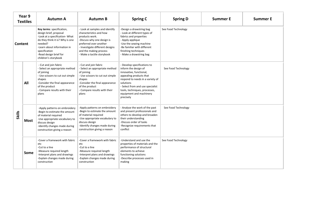| Year 9<br><b>Textiles</b> |             | <b>Autumn A</b>                                                                                                                                                                                                                       | <b>Autumn B</b>                                                                                                                                                                                                                | <b>Spring C</b>                                                                                                                                                                                                                                                         | <b>Spring D</b>     | <b>Summer E</b> | <b>Summer E</b> |
|---------------------------|-------------|---------------------------------------------------------------------------------------------------------------------------------------------------------------------------------------------------------------------------------------|--------------------------------------------------------------------------------------------------------------------------------------------------------------------------------------------------------------------------------|-------------------------------------------------------------------------------------------------------------------------------------------------------------------------------------------------------------------------------------------------------------------------|---------------------|-----------------|-----------------|
| Content                   |             | Key terms: specification,<br>design brief, proposal<br>-Look at a specification- What<br>do they think it is? Why is one<br>needed?<br>-Learn about information in<br>specification<br>-Read design brief for<br>children's storybook | - Look at samples and identify<br>characteristics and how<br>products work.<br>-Discuss why one design is<br>preferred over another<br>- Investigate different designs<br>and the making process<br>- Make a tactile storybook | -Design a drawstring bag<br>- Look at different types of<br>fabrics and properties<br>- Apply applique<br>-Use the sewing machine<br>-Be familiar with different<br>finishing techniques<br>- Make a drawstring bag                                                     | See Food Technology |                 |                 |
| <b>Skills</b>             | All         | - Cut and join fabric<br>- Select an appropriate method<br>of joining<br>- Use scissors to cut out simple<br>shapes<br>-Consider the final appearance<br>of the product<br>- Compare results with their<br>plans                      | - Cut and join fabric<br>- Select an appropriate method<br>of joining<br>- Use scissors to cut out simple<br>shapes<br>-Consider the final appearance<br>of the product<br>- Compare results with their<br>plans               | - Develop specifications to<br>inform the design of<br>innovative, functional,<br>appealing products that<br>respond to needs in a variety of<br>solutions<br>- Select from and use specialist<br>tools, techniques, processes,<br>equipment and machinery<br>precisely | See Food Technology |                 |                 |
|                           | <b>Most</b> | -Apply patterns on embroidery<br>-Begin to estimate the amount<br>of material required<br>-Use appropriate vocabulary to<br>discuss design<br>-Identify changes made during<br>construction giving a reason                           | -Apply patterns on embroidery<br>-Begin to estimate the amount<br>of material required<br>-Use appropriate vocabulary to<br>discuss design<br>-Identify changes made during<br>construction giving a reason                    | - Analyse the work of the past<br>and present professionals and<br>others to develop and broaden<br>their understanding<br>-Discuss order of tasks<br>-Recognize requirements that<br>conflict                                                                          | See Food Technology |                 |                 |
|                           | Some        | -Cover a framework with fabric<br>etc<br>-Cut to a line<br>-Measure required length<br>-Interpret plans and drawings<br>-Explain changes made during<br>construction                                                                  | -Cover a framework with fabric<br>etc<br>-Cut to a line<br>-Measure required length<br>-Interpret plans and drawings<br>-Explain changes made during<br>construction                                                           | -Understand and use the<br>properties of materials and the<br>performance of structural<br>elements to achieve<br>functioning solutions<br>-Describe processes used in<br>making                                                                                        | See Food Technology |                 |                 |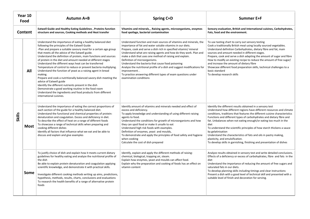|         | Year 10<br>Food | <b>Autumn A+B</b>                                                                                                                                                                                                                                                                                                                                                                                                                                                                                                                                                                                                                                                                                                                                                                                                                                                                          | <b>Spring C+D</b>                                                                                                                                                                                                                                                                                                                                                                                                                                                                                                                                                                                                 | <b>Summer E+F</b>                                                                                                                                                                                                                                                                                                                                                                                                                                                                                                                                                                                                                                    |  |
|---------|-----------------|--------------------------------------------------------------------------------------------------------------------------------------------------------------------------------------------------------------------------------------------------------------------------------------------------------------------------------------------------------------------------------------------------------------------------------------------------------------------------------------------------------------------------------------------------------------------------------------------------------------------------------------------------------------------------------------------------------------------------------------------------------------------------------------------------------------------------------------------------------------------------------------------|-------------------------------------------------------------------------------------------------------------------------------------------------------------------------------------------------------------------------------------------------------------------------------------------------------------------------------------------------------------------------------------------------------------------------------------------------------------------------------------------------------------------------------------------------------------------------------------------------------------------|------------------------------------------------------------------------------------------------------------------------------------------------------------------------------------------------------------------------------------------------------------------------------------------------------------------------------------------------------------------------------------------------------------------------------------------------------------------------------------------------------------------------------------------------------------------------------------------------------------------------------------------------------|--|
| Content |                 | Eatwell Guide and Healthy Eating Guidelines, Proteins function<br>structure and sources, Cooking methods and Heat transfer                                                                                                                                                                                                                                                                                                                                                                                                                                                                                                                                                                                                                                                                                                                                                                 | Vitamins and minerals, , Raising agents, microorganisms, enzymes<br>food spoilage, bacterial contamination                                                                                                                                                                                                                                                                                                                                                                                                                                                                                                        | Sensory evaluation, British and International cuisines, Carbohydrates,<br>Fats, food and the environment.                                                                                                                                                                                                                                                                                                                                                                                                                                                                                                                                            |  |
|         | All             | Understand the importance of eating a healthy balanced diet<br>following the principles of the Eatwell Guide<br>-Plan and prepare a suitable savoury meal for a certain age group<br>that meets all the advice of the Eatwell guide.<br>Understand the definition of protein, main functions and sources<br>of protein in the diet and amount needed at different stages<br>Understand the different ways heat can be transferred<br>Temperature of control to reduce or prevent bacteria multiplying.<br>Understand the function of yeast as a raising agent in bread<br>making.<br>Prepare and cook a nutritionally balanced savory dish meeting the<br>advice of Eatwell guide<br>Identify the different nutrients present in the dish<br>Demonstrate a good working routine in the food room<br>Understand the ingredients and food products from different<br>international cuisines. | Understand function and main sources of vitamins and minerals, the<br>importance of fat and water soluble vitamins in our diets.<br>Prepare, cook and serve a dish rich in specified vitamin/ mineral<br>Understand what are raising agents and how do they work. Plan and<br>make a dish that uses one method of raising and explain.<br>Definition of microorganisms.<br>Understand the bacteria that cause food poisoning<br>Analyze the nutritional profile of a dish and suggest modifications for<br>improvement<br>To practice answering different types of exam questions under<br>examination conditions | To use tasting chart to carry out sensory testing<br>Cook a traditionally British meal using locally sourced vegetables.<br>Understand definition Carbohydrates, dietary fibre and fat, main<br>sources and amount needed in different stages.<br>Prepare, cook and serve a dish adapting the amount of sugar and fibre<br>How to modify an existing recipe to reduce the amount of free sugar/<br>and increase the amount of dietary fibre<br>Showcase different food preparation skills, technical challenges to a<br>basic standard<br>To develop research skills                                                                                 |  |
| Skills  | Most            | Understand the importance of eating the correct proportions of<br>each section of the guide for a healthy balanced diet.<br>Understand the functional and chemical properties of protein:<br>denaturation and coagulation. Excess and deficiency in diet.<br>To describe the effect of heat on a range of different foods<br>To showcase a range of technical skills when preparing and<br>cooking different dishes<br>Identify all factors that influence what we eat and be able to<br>discuss and explain and give examples                                                                                                                                                                                                                                                                                                                                                             | Identify amount of vitamins and minerals needed and effect of<br>excess and deficiency.<br>To apply knowledge and understanding of using different raising<br>agents to food.<br>Understand the conditions for growth of microorganisms and how<br>they can spoil food or make it unsafe to eat<br>Understand high risk foods with examples.<br>Definition of enzymes, yeast and moulds,<br>To demonstrate and apply the principles of food safety and hygiene<br>when cooking<br>Calculate the cost of dish prepared                                                                                             | Identify the different results obtained in a sensory test<br>Understand how different regions have different resources and climate<br>conditions, traditions that features the different cuisine characteristics<br>Functions and different types of carbohydrates and dietary fibre and<br>fat. Unbalances when not eating enough/or eating too much in the<br>diet<br>To understand the scientific principles of how starch thickens a sauce<br>by gelatinisation<br>Understand the characteristics of fats and oils in pastry making,<br>plasticity, and emulsification.<br>To develop skills in garnishing, finishing and presentation of dishes |  |
|         | <b>Some</b>     | To justify choice of dish and explain how it meets current dietary<br>guidelines for healthy eating and analyze the nutritional profile of<br>the dish<br>Be able to explain protein denaturation and coagulation applying<br>scientific knowledge, and demonstrate it with practical skills.<br>Investigate different cooking methods writing up aims, predictions,<br>hypothesis, methods, results, charts, conclusions and evaluations<br>To research the health benefits of a range of alternative protein<br>foods                                                                                                                                                                                                                                                                                                                                                                    | Identify, explain and apply the different methods of raising:<br>chemical, biological, trapping air, steam.<br>Explain how enzymes, yeast and moulds can affect food.<br>Explain why the preparation and cooking of foods has an effect on<br>vitamin content                                                                                                                                                                                                                                                                                                                                                     | Analyze results obtained in sensory test and write detailed conclusions.<br>Effects of a deficiency or excess of carbohydrates, fibre and fats in the<br>diet<br>Understand the importance of reducing the amount of free sugars and<br>saturated fats in our diets.<br>To develop planning skills including timings and clear instructions<br>Present a dish with a good level of technical skill and presented with a<br>suitable level of finish and decoration for serving.                                                                                                                                                                      |  |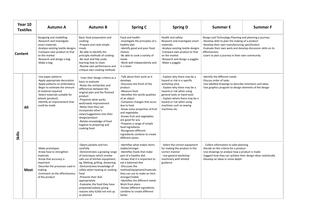| Year 10<br><b>Textiles</b> |             | <b>Autumn A</b>                                                                                                                                                                                                                                        | <b>Autumn B</b>                                                                                                                                                                                                                                                                                                                                                                                        | <b>Spring C</b>                                                                                                                                                                                                                                                                                                                                                                                                                                  | <b>Spring D</b>                                                                                                                                                                                                                                                                      | <b>Summer E</b>                                                                                                                                                                                                                                                                                  | Summer F |
|----------------------------|-------------|--------------------------------------------------------------------------------------------------------------------------------------------------------------------------------------------------------------------------------------------------------|--------------------------------------------------------------------------------------------------------------------------------------------------------------------------------------------------------------------------------------------------------------------------------------------------------------------------------------------------------------------------------------------------------|--------------------------------------------------------------------------------------------------------------------------------------------------------------------------------------------------------------------------------------------------------------------------------------------------------------------------------------------------------------------------------------------------------------------------------------------------|--------------------------------------------------------------------------------------------------------------------------------------------------------------------------------------------------------------------------------------------------------------------------------------|--------------------------------------------------------------------------------------------------------------------------------------------------------------------------------------------------------------------------------------------------------------------------------------------------|----------|
| Content                    |             | Designing and modelling:<br>-Research and investigate<br>smart materials<br>-Analyse existing textile designs<br>-Compare own product to that<br>on the market<br>-Research and design a bag<br>-Make a bag                                            | Basic food preparation and<br>cooking:<br>-Prepare and cook simple<br>meals<br>-Be able to identify the<br>principle methods of cooking<br>-Be neat and tidy cooks<br>learning how to clean<br>-Review own performance and<br>critique own cooking methods                                                                                                                                             | Food and health:<br>-Investigate the principles of a<br>healthy diet<br>-Identify good and poor food<br>choices<br>-Be able to cook a variety of<br>meals<br>-Work well independently and<br>in a team                                                                                                                                                                                                                                           | Health and safety:<br>Research and investigate smart<br>materials<br>-Analyse existing textile designs<br>-Compare own product to that<br>on the market<br>-Research and design a pugglie<br>-Make a pugglie                                                                         | Design and Technology Planning and planning a journey:<br>-Develop skills to plan the making of a product<br>-Develop their own manufacturing specification<br>-Evaluate their own work and develop discussion skills on its<br>effectiveness<br>-Learn to plan a journey in their own community |          |
| <b>Skills</b>              | All         | -Use paper patterns<br>-Apply appropriate decoration<br>-Apply patterns on embroidery<br>-Begin to estimate the amount<br>of material required<br>-Select materials suitable for<br>wheels (product)<br>-Identify an improvement that<br>could be made | -Uses their design criteria as a<br>basis to evaluate<br>-Notes the similarities and<br>differences between the<br>original plan and the finished<br>product<br>-Pinpoints what works<br>well/needs improvement<br>-Notes how they can<br>incorporate other's<br>views/suggestions into their<br>design/product<br>-Relates knowledge of food<br>hygiene to preparing and<br>cooking food              | -Talk about their work as it<br>develops<br>-Discusses the finish of the<br>product<br>-Measure food<br>-Identifies the tactile qualities<br>of an object<br>-Compares changes that occur<br>due to heat<br>-Know some properties of fruit<br>and vegetables<br>-Knows fruit and vegetables<br>are good for you<br>-Prepares a range of simple<br>food ingredients<br>-Recognises different<br>ingredients combine to create<br>different tastes | - Explain why there may be a<br>hazard or risk in a specific<br>workshop area<br>- Explain why there may be a<br>hazard or risk when using<br>general tools or hand tools<br>- Explain where there may be a<br>hazard or risk when using<br>machines such as sewing<br>machines etc. | -Identify the different needs<br>-Discuss order of tasks<br>-Use labelled drawings to describe intentions and ideas<br>-Use graphics program to design elements of the design                                                                                                                    |          |
|                            | <b>Most</b> | -Make prototypes<br>-Know how to strengthen<br>materials<br>-Know that accuracy is<br>important<br>-Describe the processes used in<br>making<br>-Comment on the effectiveness<br>of the product                                                        | -Opens packets and tins<br>carefully<br>-Demonstrates a growing range<br>of techniques which involve<br>safe use of kitchen equipment,<br>eg. Melting, grilling, skewering<br>-Demonstrates knowledge of<br>safety when heating or cooking<br>food<br>-Presents their dish<br>appropriately<br>-Evaluates the food they have<br>prepared/cooked, giving<br>reasons why it/did not end up<br>as planned | -Identifies what makes items<br>stable/stronger<br>-Identifies foods that make<br>part of a healthy diet<br>-Knows that it is important to<br>eat a balanced diet<br>-Discusses the<br>method/equipment/materials<br>they can use to make an item<br>stronger/stable<br>-Identifies the different needs<br>Work from plans<br>-Knows different ingredients<br>combine to create different<br>tastes                                              | - Select the correct equipment<br>for making the product in the<br>correct manner<br>- Use general workshop<br>machinery with limited<br>guidance                                                                                                                                    | - Collect information to aide planning<br>-Decide on the criteria for a product<br>-Use drawings to analyse how a product is made<br>-Suggest how they can achieve their design ideas realistically<br>-Develop an ideas in some depth                                                           |          |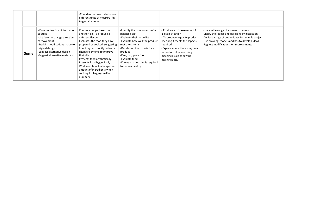|      |                                                                                                                                                                                                                 | -Confidently converts between<br>different units of measure- kg<br>to g or vice versa                                                                                                                                                                                                                                                                                                         |                                                                                                                                                                                                                                                                                      |                                                                                                                                                                                                                                              |                                                                                                                                                                                                                                                   |
|------|-----------------------------------------------------------------------------------------------------------------------------------------------------------------------------------------------------------------|-----------------------------------------------------------------------------------------------------------------------------------------------------------------------------------------------------------------------------------------------------------------------------------------------------------------------------------------------------------------------------------------------|--------------------------------------------------------------------------------------------------------------------------------------------------------------------------------------------------------------------------------------------------------------------------------------|----------------------------------------------------------------------------------------------------------------------------------------------------------------------------------------------------------------------------------------------|---------------------------------------------------------------------------------------------------------------------------------------------------------------------------------------------------------------------------------------------------|
| Some | -Makes notes from information<br>sources<br>-Use lever to change direction<br>of movement<br>-Explain modifications made to<br>original design<br>-Suggest alternative design<br>-Suggest alternative materials | Creates a recipe based on<br>another, eg. To produce a<br>different flavour<br>Evaluates the food they have<br>prepared or cooked, suggesting<br>how they can modify tastes or<br>change elements to improve<br>their dish<br>Presents food aesthetically<br>Presents food hygienically<br>Works out how to change the<br>amount of ingredients when<br>cooking for larger/smaller<br>numbers | -Identify the components of a<br>balanced diet<br>-Evaluate their to do list<br>-Evaluate how well the product<br>met the criteria<br>-Decides on the criteria for a<br>product<br>-Peel, cut, grate food<br>-Evaluate food<br>-Knows a varied diet is reguired<br>to remain healthy | Produce a risk assessment for<br>a given situation<br>- To produce a quality product<br>checking it meets the aspects<br>required.<br>-Explain where there may be a<br>hazard or risk when using<br>machines such as sewing<br>machines etc. | -Use a wide range of sources to research<br>-Clarify their ideas and decisions by discussion<br>-Devise a range of design ideas for a single project<br>-Use drawing, models and kits to develop ideas<br>-Suggest modifications for improvements |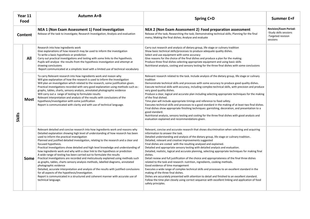| Year 11<br>Food<br>Content |             | <b>Autumn A+B</b>                                                                                                                                                                                                                                                                                                                                                                                                                                                                                                                                                                                                                                                                                                                                                                                                                                                                                                                                                                                                                                     | <b>Spring C+D</b>                                                                                                                                                                                                                                                                                                                                                                                                                                                                                                                                                                                                                                                                                                                                                                                                                                                                                                                                                                                                                                                                                                                                                   | Summer E+F                                                                               |  |
|----------------------------|-------------|-------------------------------------------------------------------------------------------------------------------------------------------------------------------------------------------------------------------------------------------------------------------------------------------------------------------------------------------------------------------------------------------------------------------------------------------------------------------------------------------------------------------------------------------------------------------------------------------------------------------------------------------------------------------------------------------------------------------------------------------------------------------------------------------------------------------------------------------------------------------------------------------------------------------------------------------------------------------------------------------------------------------------------------------------------|---------------------------------------------------------------------------------------------------------------------------------------------------------------------------------------------------------------------------------------------------------------------------------------------------------------------------------------------------------------------------------------------------------------------------------------------------------------------------------------------------------------------------------------------------------------------------------------------------------------------------------------------------------------------------------------------------------------------------------------------------------------------------------------------------------------------------------------------------------------------------------------------------------------------------------------------------------------------------------------------------------------------------------------------------------------------------------------------------------------------------------------------------------------------|------------------------------------------------------------------------------------------|--|
|                            |             | NEA 1 (Non Exam Assessment 1) Food investigation<br>Release of the task to investigate; Research Investigation; Analysis and evaluation                                                                                                                                                                                                                                                                                                                                                                                                                                                                                                                                                                                                                                                                                                                                                                                                                                                                                                               | NEA 2 (Non Exam Assessment 2) Food preparation assessment<br>Release of the task; Researching the task; Demonstrating technical skills; Planning for the final<br>menu; Making the final dishes; Analyse and evaluate                                                                                                                                                                                                                                                                                                                                                                                                                                                                                                                                                                                                                                                                                                                                                                                                                                                                                                                                               | <b>Revision/Exam Period:</b><br>-Study skills sessions<br>-Targeted revision<br>sessions |  |
|                            | All         | Research into how ingredients work<br>Give explanations of how research may be used to inform the investigation<br>To write a basic hypothesis or prediction<br>Carry out practical investigations and testing with some links to the hypothesis.<br>Pupils will analyse the results from the hypothesis investigation and attempt at<br>drawing conclusions<br>Report communicated at a simplistic level with a limited use of technical vocabulary                                                                                                                                                                                                                                                                                                                                                                                                                                                                                                                                                                                                  | Carry out research and analysis of dietary group, life stage or culinary tradition<br>Show basic technical skills/processes to produce adequate quality dishes.<br>Select and use equipment with some accuracy<br>Give reasons for the choice of the final dishes and produce a plan for the making.<br>Produce three final dishes selecting appropriate equipment and using basic skills<br>Nutritional analysis, costing and sensory testing for the three final dishes with some conclusions                                                                                                                                                                                                                                                                                                                                                                                                                                                                                                                                                                                                                                                                     |                                                                                          |  |
| <b>Skills</b>              | <b>Most</b> | To carry Relevant research into how ingredients work and reason why<br>Will give explanation of how the research is used to inform the investigation<br>Will plan an investigation which related to the research, some justification given.<br>Practical investigations recorded with very good explanation using methods such as :<br>graphs, tables, charts, sensory analysis, annotated photographic evidence<br>Will carry out a range of testing to formulate results<br>Relevant interpretation and analysis of the results with conclusions of the<br>hypothesis/investigation with some justification<br>Report is communicated with clarity and with use of technical language.                                                                                                                                                                                                                                                                                                                                                              | Relevant research related to the task. Include analysis of the dietary group, life stage or culinary<br>tradition<br>Demonstrate technical skills and processes with some accuracy to produce good quality dishes.<br>Execute technical skills with accuracy, including complex technical skills, with precision and produce<br>very good quality dishes.<br>Produce a clear, logical and accurate plan including selecting appropriate techniques for the making<br>of the final dished.<br>Time plan will include appropriate timings and reference to food safety.<br>Executes technical skills and processes to a good standard in the making of at least two final dishes.<br>Final dishes show appropriate finishing techniques: garnishing, decoration, and presentation to a<br>good standard.<br>Nutritional analysis, sensory testing and costing for the three final dishes with good analysis and<br>evaluation explained and recommendations given.                                                                                                                                                                                                    |                                                                                          |  |
|                            | Some        | Relevant detailed and concise research into how ingredients work and reasons why<br>Detailed explanation showing high level of understanding of how research has been<br>used to inform the practical investigation<br>Planned and justified detailed investigation, relating to the research and a clear and<br>focused hypothesis.<br>Practical investigations show detailed and high level knowledge and understanding of<br>how ingredients work and why with a clear link to the hypothesis or prediction<br>A wide range of testing has been carried out to formulate the results<br>Practical investigations are recorded and meticulously explained using methods such<br>as graphs, tables, charts sensory analysis methods, labelled diagrams, annotated<br>photographic evidence<br>Detailed, accurate interpretation and analysis of the results with justified conclusions<br>for all aspects of the hypothesis/investigation.<br>Report is communicated in a structured and coherent manner with accurate use of<br>technical language. | Relevant, concise and accurate research that shows discrimination when selecting and acquiring<br>information to answer the task.<br>Detailed understanding and analysis of the dietary group, life stage or culinary tradition<br>Detailed, relevant and creative improvements suggested<br>Final dishes are costed with the resulting analysed and explained.<br>Detailed and appropriate sensory testing with detailed analysis and evaluation.<br>Detailed, realistic, logical and accurate planning, selecting appropriate techniques for making final<br>dishes.<br>Detail review and full justification of the choice and appropriateness of the final three dishes<br>related to the task and research: nutrition, ingredients, cooking methods.<br>Good evidence of time management<br>Executes a wide range of complex technical skills and processes to an excellent standard in the<br>making of the three final dishes.<br>Dishes are accurately presented with attention to detail and finished to an excellent standard.<br>Follow the time plan closely using correct sequence with excellent linking and application of food<br>safety principles. |                                                                                          |  |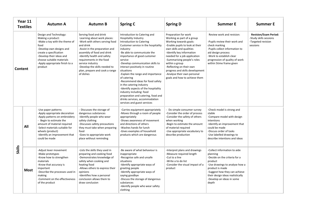|               | Year 11<br><b>Textiles</b> | <b>Autumn A</b>                                                                                                                                                                                                                                         | <b>Autumn B</b>                                                                                                                                                                                                                                                                                                                     | <b>Spring C</b>                                                                                                                                                                                                                                                                                                                                                                                                                                                                                                                                                                                         | <b>Spring D</b>                                                                                                                                                                                                                                                                                                                                                                          | <b>Summer E</b>                                                                                                                                                                                                                                      | <b>Summer E</b>                                                                          |
|---------------|----------------------------|---------------------------------------------------------------------------------------------------------------------------------------------------------------------------------------------------------------------------------------------------------|-------------------------------------------------------------------------------------------------------------------------------------------------------------------------------------------------------------------------------------------------------------------------------------------------------------------------------------|---------------------------------------------------------------------------------------------------------------------------------------------------------------------------------------------------------------------------------------------------------------------------------------------------------------------------------------------------------------------------------------------------------------------------------------------------------------------------------------------------------------------------------------------------------------------------------------------------------|------------------------------------------------------------------------------------------------------------------------------------------------------------------------------------------------------------------------------------------------------------------------------------------------------------------------------------------------------------------------------------------|------------------------------------------------------------------------------------------------------------------------------------------------------------------------------------------------------------------------------------------------------|------------------------------------------------------------------------------------------|
| Content       |                            | Design and Technology:<br>Making a product:<br>-Make a toy with the theme of<br>food<br>-Develop own designs and<br>create a specification<br>-Develop their ideas and<br>choose suitable materials<br>-Apply appropriate finish to a<br>product        | Serving food and drink<br>Learning about work places:<br>-Work with others serving food<br>and drink<br>-Assist in the preparation and<br>assembly of food and drink<br>-Identify health and safety<br>requirements in the food<br>service industry<br>-Develop the skills needed to<br>plan, prepare and cook a range<br>of dishes | Introduction to Catering and<br><b>Hospitality Industry</b><br>Introduction to Catering<br>Customer service in the hospitality<br>industry:<br>-Be able to communicate the<br>importance of good customer<br>service<br>-Develop communication skills to<br>interact positively in routine<br>situations<br>-Explain the range and importance<br>of catering<br>-Recommend ideas for food safety<br>in the catering industry<br>-Identify aspects of the hospitality<br>industry including: food<br>preparation and catering, food and<br>drinks services, accommodation<br>services and guest services | Preparation for work<br>Working as part of a group<br>Working towards goals:<br>-Enable pupils to look at their<br>own skills and qualities<br>-Identify key information<br>needed for a job application<br>-Summarising people's roles<br>within a group<br>-Reflecting on their own<br>progress and skills development<br>-Analyse their own personal<br>goals and how to achieve them | Review work and revision:<br>-Pupils review their work and<br>check marking<br>-Pupils collect information to<br>aid design process<br>-Work to establish clear<br>progression of quality of work<br>within 5time frame given                        | <b>Revision/Exam Period:</b><br>-Study skills sessions<br>-Targeted revision<br>sessions |
| <b>Skills</b> | All                        | -Use paper patterns<br>-Apply appropriate decoration<br>-Apply patterns on embroidery<br>- Begin to estimate the<br>amount of material required<br>-Select materials suitable for<br>wheels (product)<br>-Identify an improvement that<br>could be made | - Discusses the storage of<br>dangerous substances<br>-Identify people who wear<br>safety clothing<br>-Discusses safety precautions<br>they must take when preparing<br>food<br>-Goes to appropriate work<br>place without reminding                                                                                                | -Carries equipment appropriately<br>-Moves through a room of people<br>appropriately<br>-Shows awareness of movement<br>and directions of others<br>-Washes hands for lunch<br>-Gives examples of household<br>products which are dangerous                                                                                                                                                                                                                                                                                                                                                             | - Do simple consumer survey<br>-Consider the order of process<br>-Consider the safety of others<br>when working<br>-Begin to estimate the amount<br>of material required<br>-Use appropriate vocabulary to<br>describe production                                                                                                                                                        | -Check model is strong and<br>stable<br>-Compare model with design<br>intentions<br>-Identify an improvement that<br>could be made<br>-Discuss order of tasks<br>-Use labelled drawings to<br>describe intentions and ideas                          |                                                                                          |
|               | <b>Most</b>                | -Adjust lever movement<br>-Make prototypes<br>-Know how to strengthen<br>materials<br>-Know that accuracy is<br>important<br>-Describe the processes used in<br>making<br>-Comment on the effectiveness<br>of the product                               | -Lists the skills they used in<br>preparing and cooking food<br>-Demonstrates knowledge of<br>safety when cooking and<br>heating food<br>-Allows others to express their<br>opinions<br>-Identifies how a personal<br>conclusion allows them to<br>draw conclusion                                                                  | -Be aware of what behaviour is<br>inappropriate<br>-Recognise safe and unsafe<br>situations<br>-Identify appropriate ways of<br>greeting people<br>-Identify appropriate ways of<br>saying goodbye<br>-Discuss the storage of dangerous<br>substances<br>-Identify people who wear safety<br>clothing                                                                                                                                                                                                                                                                                                   | -Interpret plans and drawings<br>-Measure required length<br>-Cut to a line<br>-Write a to do list<br>-Consider the visual impact of a<br>product                                                                                                                                                                                                                                        | -Collect information to aide<br>planning<br>-Decide on the criteria for a<br>product<br>-Use drawings to analyse how a<br>product is made<br>-Suggest how they can achieve<br>their design ideas realistically<br>-Develop an ideas in some<br>depth |                                                                                          |